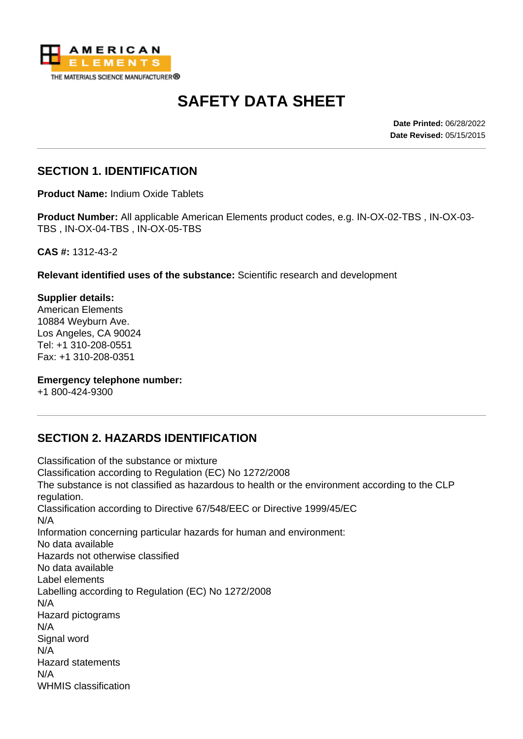

# **SAFETY DATA SHEET**

**Date Printed:** 06/28/2022 **Date Revised:** 05/15/2015

#### **SECTION 1. IDENTIFICATION**

**Product Name:** Indium Oxide Tablets

**Product Number:** All applicable American Elements product codes, e.g. IN-OX-02-TBS , IN-OX-03- TBS , IN-OX-04-TBS , IN-OX-05-TBS

**CAS #:** 1312-43-2

**Relevant identified uses of the substance:** Scientific research and development

**Supplier details:** American Elements 10884 Weyburn Ave. Los Angeles, CA 90024 Tel: +1 310-208-0551 Fax: +1 310-208-0351

**Emergency telephone number:**

+1 800-424-9300

# **SECTION 2. HAZARDS IDENTIFICATION**

Classification of the substance or mixture Classification according to Regulation (EC) No 1272/2008 The substance is not classified as hazardous to health or the environment according to the CLP regulation. Classification according to Directive 67/548/EEC or Directive 1999/45/EC N/A Information concerning particular hazards for human and environment: No data available Hazards not otherwise classified No data available Label elements Labelling according to Regulation (EC) No 1272/2008 N/A Hazard pictograms N/A Signal word N/A Hazard statements N/A WHMIS classification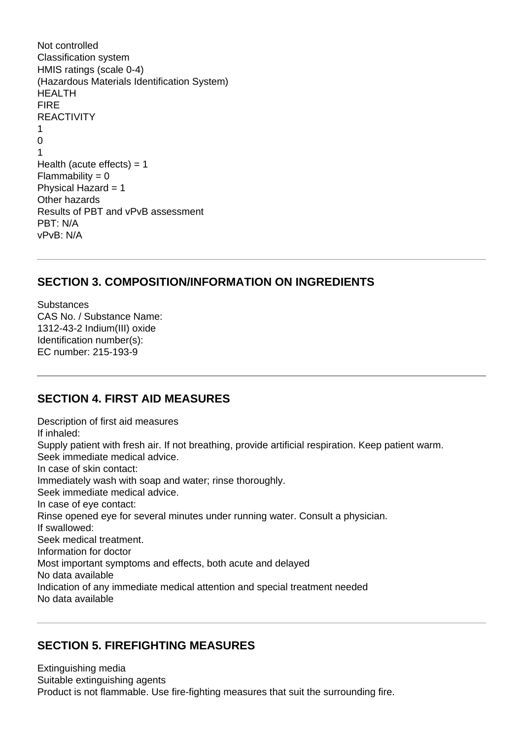```
Not controlled
Classification system
HMIS ratings (scale 0-4)
(Hazardous Materials Identification System)
HEALTH
FIRE
REACTIVITY
1
\Omega1
Health (acute effects) = 1Flammability = 0Physical Hazard = 1Other hazards
Results of PBT and vPvB assessment
PBT: N/A
vPvB: N/A
```
#### **SECTION 3. COMPOSITION/INFORMATION ON INGREDIENTS**

Substances CAS No. / Substance Name: 1312-43-2 Indium(III) oxide Identification number(s): EC number: 215-193-9

#### **SECTION 4. FIRST AID MEASURES**

Description of first aid measures If inhaled: Supply patient with fresh air. If not breathing, provide artificial respiration. Keep patient warm. Seek immediate medical advice. In case of skin contact: Immediately wash with soap and water; rinse thoroughly. Seek immediate medical advice. In case of eye contact: Rinse opened eye for several minutes under running water. Consult a physician. If swallowed: Seek medical treatment. Information for doctor Most important symptoms and effects, both acute and delayed No data available Indication of any immediate medical attention and special treatment needed No data available

#### **SECTION 5. FIREFIGHTING MEASURES**

Extinguishing media Suitable extinguishing agents Product is not flammable. Use fire-fighting measures that suit the surrounding fire.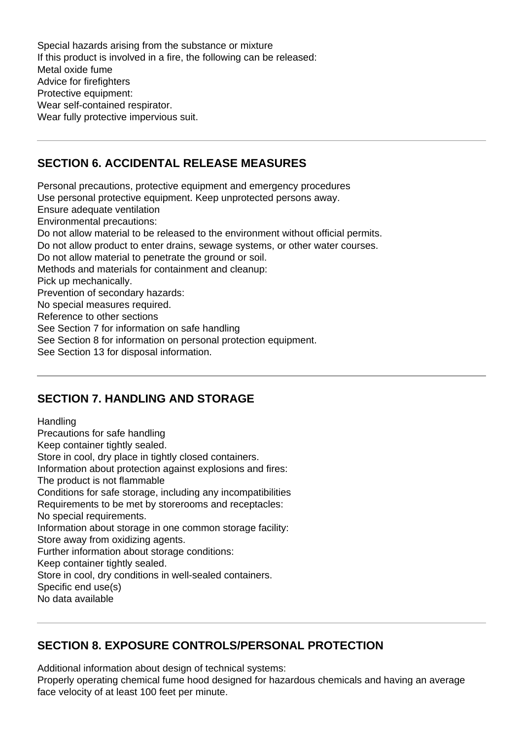Special hazards arising from the substance or mixture If this product is involved in a fire, the following can be released: Metal oxide fume Advice for firefighters Protective equipment: Wear self-contained respirator. Wear fully protective impervious suit.

# **SECTION 6. ACCIDENTAL RELEASE MEASURES**

Personal precautions, protective equipment and emergency procedures Use personal protective equipment. Keep unprotected persons away. Ensure adequate ventilation Environmental precautions: Do not allow material to be released to the environment without official permits. Do not allow product to enter drains, sewage systems, or other water courses. Do not allow material to penetrate the ground or soil. Methods and materials for containment and cleanup: Pick up mechanically. Prevention of secondary hazards: No special measures required. Reference to other sections See Section 7 for information on safe handling See Section 8 for information on personal protection equipment. See Section 13 for disposal information.

# **SECTION 7. HANDLING AND STORAGE**

**Handling** Precautions for safe handling Keep container tightly sealed. Store in cool, dry place in tightly closed containers. Information about protection against explosions and fires: The product is not flammable Conditions for safe storage, including any incompatibilities Requirements to be met by storerooms and receptacles: No special requirements. Information about storage in one common storage facility: Store away from oxidizing agents. Further information about storage conditions: Keep container tightly sealed. Store in cool, dry conditions in well-sealed containers. Specific end use(s) No data available

#### **SECTION 8. EXPOSURE CONTROLS/PERSONAL PROTECTION**

Additional information about design of technical systems:

Properly operating chemical fume hood designed for hazardous chemicals and having an average face velocity of at least 100 feet per minute.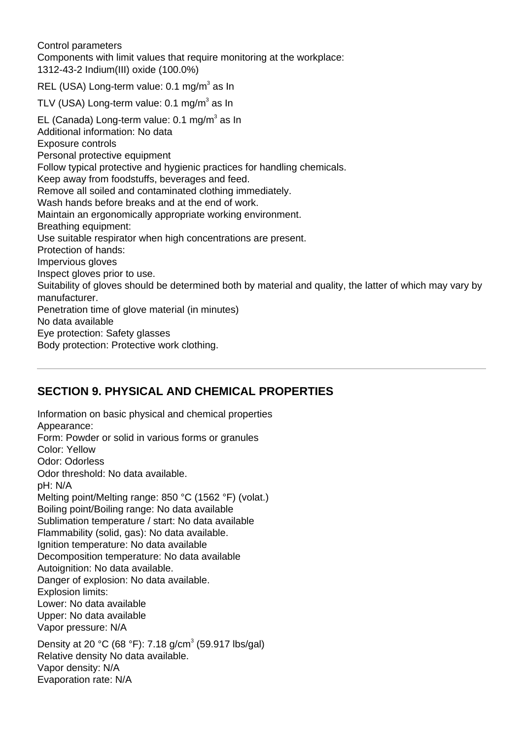Control parameters

Components with limit values that require monitoring at the workplace: 1312-43-2 Indium(III) oxide (100.0%)

REL (USA) Long-term value: 0.1 mg/m<sup>3</sup> as In

TLV (USA) Long-term value: 0.1 mg/m $^3$  as In EL (Canada) Long-term value: 0.1 mg/m<sup>3</sup> as In Additional information: No data Exposure controls Personal protective equipment Follow typical protective and hygienic practices for handling chemicals. Keep away from foodstuffs, beverages and feed. Remove all soiled and contaminated clothing immediately. Wash hands before breaks and at the end of work. Maintain an ergonomically appropriate working environment. Breathing equipment: Use suitable respirator when high concentrations are present. Protection of hands: Impervious gloves Inspect gloves prior to use. Suitability of gloves should be determined both by material and quality, the latter of which may vary by manufacturer. Penetration time of glove material (in minutes) No data available Eye protection: Safety glasses Body protection: Protective work clothing.

# **SECTION 9. PHYSICAL AND CHEMICAL PROPERTIES**

Information on basic physical and chemical properties Appearance: Form: Powder or solid in various forms or granules Color: Yellow Odor: Odorless Odor threshold: No data available. pH: N/A Melting point/Melting range: 850 °C (1562 °F) (volat.) Boiling point/Boiling range: No data available Sublimation temperature / start: No data available Flammability (solid, gas): No data available. Ignition temperature: No data available Decomposition temperature: No data available Autoignition: No data available. Danger of explosion: No data available. Explosion limits: Lower: No data available Upper: No data available Vapor pressure: N/A Density at 20 °C (68 °F): 7.18 g/cm<sup>3</sup> (59.917 lbs/gal) Relative density No data available. Vapor density: N/A Evaporation rate: N/A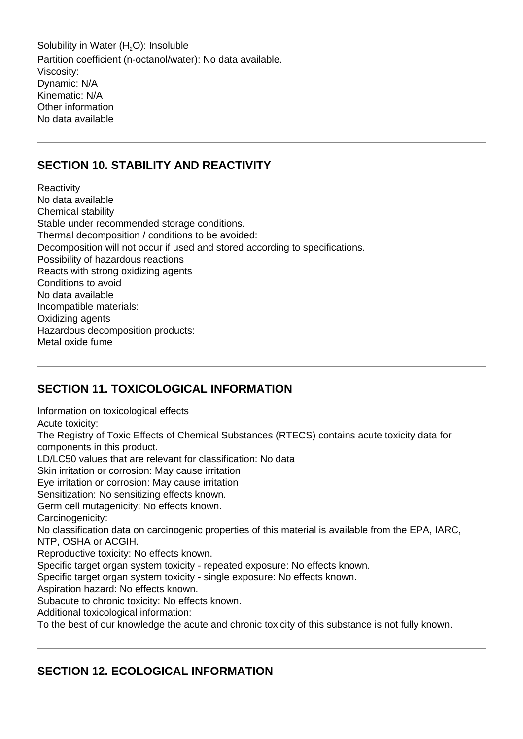Solubility in Water (H<sub>2</sub>O): Insoluble Partition coefficient (n-octanol/water): No data available. Viscosity: Dynamic: N/A Kinematic: N/A Other information No data available

#### **SECTION 10. STABILITY AND REACTIVITY**

**Reactivity** No data available Chemical stability Stable under recommended storage conditions. Thermal decomposition / conditions to be avoided: Decomposition will not occur if used and stored according to specifications. Possibility of hazardous reactions Reacts with strong oxidizing agents Conditions to avoid No data available Incompatible materials: Oxidizing agents Hazardous decomposition products: Metal oxide fume

# **SECTION 11. TOXICOLOGICAL INFORMATION**

Information on toxicological effects Acute toxicity: The Registry of Toxic Effects of Chemical Substances (RTECS) contains acute toxicity data for components in this product. LD/LC50 values that are relevant for classification: No data Skin irritation or corrosion: May cause irritation Eye irritation or corrosion: May cause irritation Sensitization: No sensitizing effects known. Germ cell mutagenicity: No effects known. Carcinogenicity: No classification data on carcinogenic properties of this material is available from the EPA, IARC, NTP, OSHA or ACGIH. Reproductive toxicity: No effects known. Specific target organ system toxicity - repeated exposure: No effects known. Specific target organ system toxicity - single exposure: No effects known. Aspiration hazard: No effects known. Subacute to chronic toxicity: No effects known. Additional toxicological information: To the best of our knowledge the acute and chronic toxicity of this substance is not fully known.

# **SECTION 12. ECOLOGICAL INFORMATION**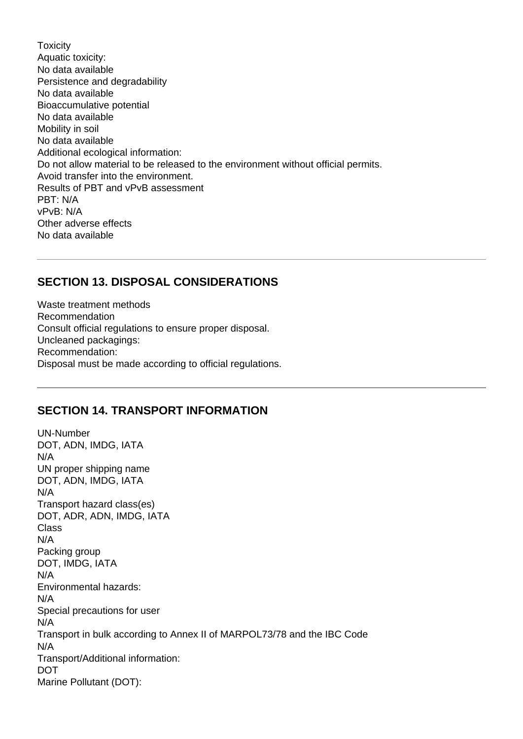**Toxicity** Aquatic toxicity: No data available Persistence and degradability No data available Bioaccumulative potential No data available Mobility in soil No data available Additional ecological information: Do not allow material to be released to the environment without official permits. Avoid transfer into the environment. Results of PBT and vPvB assessment PBT: N/A vPvB: N/A Other adverse effects No data available

#### **SECTION 13. DISPOSAL CONSIDERATIONS**

Waste treatment methods Recommendation Consult official regulations to ensure proper disposal. Uncleaned packagings: Recommendation: Disposal must be made according to official regulations.

#### **SECTION 14. TRANSPORT INFORMATION**

UN-Number DOT, ADN, IMDG, IATA N/A UN proper shipping name DOT, ADN, IMDG, IATA N/A Transport hazard class(es) DOT, ADR, ADN, IMDG, IATA Class N/A Packing group DOT, IMDG, IATA N/A Environmental hazards: N/A Special precautions for user N/A Transport in bulk according to Annex II of MARPOL73/78 and the IBC Code N/A Transport/Additional information: DOT Marine Pollutant (DOT):